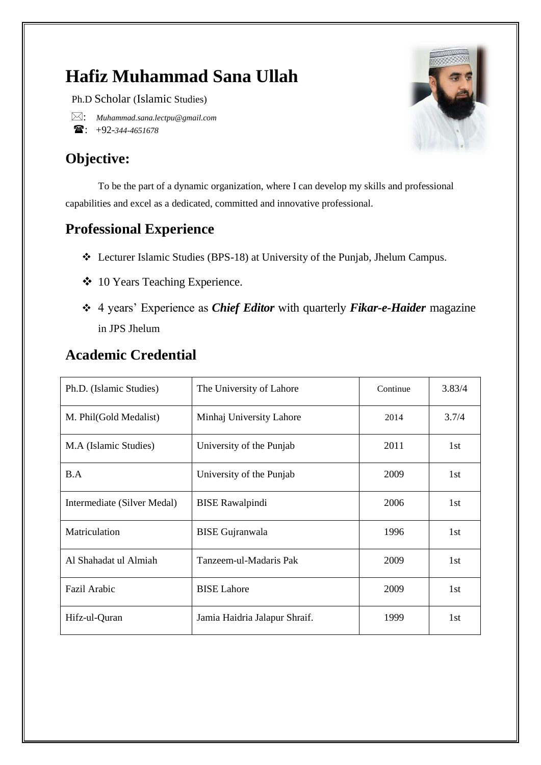# **Hafiz Muhammad Sana Ullah**

Ph.D Scholar (Islamic Studies)

: *Muhammad.sana.lectpu@gmail.com* : +92-*344-4651678*

# **Objective:**



To be the part of a dynamic organization, where I can develop my skills and professional capabilities and excel as a dedicated, committed and innovative professional.

## **Professional Experience**

- Lecturer Islamic Studies (BPS-18) at University of the Punjab, Jhelum Campus.
- **❖** 10 Years Teaching Experience.
- 4 years' Experience as *Chief Editor* with quarterly *Fikar-e-Haider* magazine in JPS Jhelum

## **Academic Credential**

| Ph.D. (Islamic Studies)     | The University of Lahore      | Continue | 3.83/4 |
|-----------------------------|-------------------------------|----------|--------|
| M. Phil (Gold Medalist)     | Minhaj University Lahore      | 2014     | 3.7/4  |
| M.A (Islamic Studies)       | University of the Punjab      | 2011     | 1st    |
| B.A                         | University of the Punjab      | 2009     | 1st    |
| Intermediate (Silver Medal) | <b>BISE</b> Rawalpindi        | 2006     | 1st    |
| Matriculation               | <b>BISE</b> Gujranwala        | 1996     | 1st    |
| Al Shahadat ul Almiah       | Tanzeem-ul-Madaris Pak        | 2009     | 1st    |
| Fazil Arabic                | <b>BISE</b> Lahore            | 2009     | 1st    |
| Hifz-ul-Quran               | Jamia Haidria Jalapur Shraif. | 1999     | 1st    |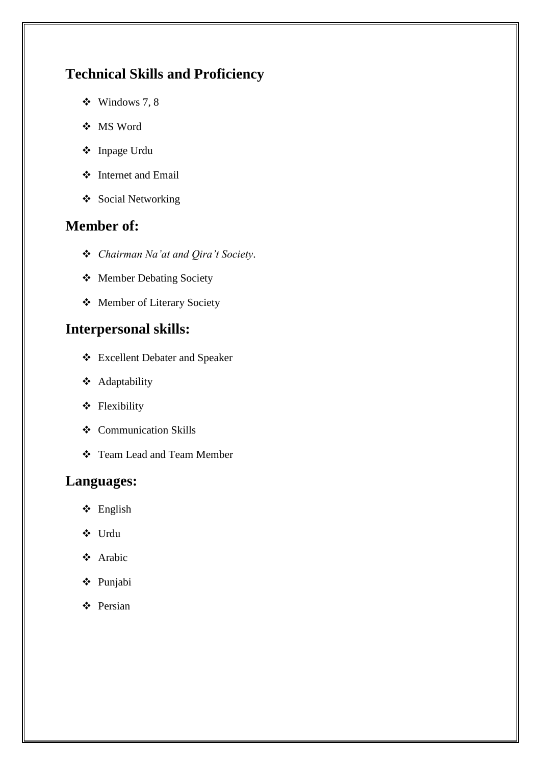## **Technical Skills and Proficiency**

- $\div$  Windows 7, 8
- MS Word
- Inpage Urdu
- Internet and Email
- ❖ Social Networking

#### **Member of:**

- *Chairman Na'at and Qira't Society*.
- Member Debating Society
- Member of Literary Society

## **Interpersonal skills:**

- Excellent Debater and Speaker
- Adaptability
- Flexibility
- Communication Skills
- Team Lead and Team Member

#### **Languages:**

- English
- Urdu
- Arabic
- Punjabi
- Persian